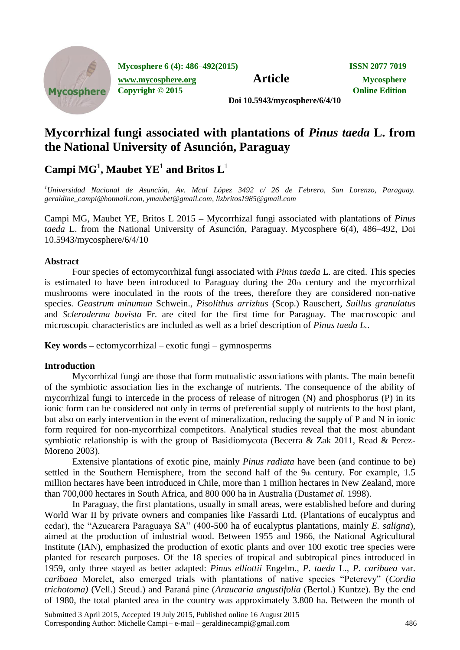

**Mycosphere 6 (4): 486–492(2015) ISSN 2077 7019**

*[www.mycosphere.org](http://www.mycosphere.org/)* **<b>Article Mycosphere** 

**Copyright © 2015 Online Edition**

**Doi 10.5943/mycosphere/6/4/10**

# **Mycorrhizal fungi associated with plantations of** *Pinus taeda* **L. from the National University of Asunción, Paraguay**

**Campi MG<sup>1</sup> , Maubet YE<sup>1</sup> and Britos L**<sup>1</sup>

*<sup>1</sup>Universidad Nacional de Asunción, Av. Mcal López 3492 c/ 26 de Febrero, San Lorenzo, Paraguay. [geraldine\\_campi@hotmail.com](mailto:geraldinecampi@gmail.com), [ymaubet@gmail.com,](mailto:ymaubet@gmail.com) [lizbritos1985@gmail.com](mailto:lizbritos1985@gmail.com)*

Campi MG, Maubet YE, Britos L 2015 **–** Mycorrhizal fungi associated with plantations of *Pinus taeda* L. from the National University of Asunción, Paraguay. Mycosphere 6(4), 486–492, Doi 10.5943/mycosphere/6/4/10

# **Abstract**

Four species of ectomycorrhizal fungi associated with *Pinus taeda* L. are cited. This species is estimated to have been introduced to Paraguay during the  $20<sub>th</sub>$  century and the mycorrhizal mushrooms were inoculated in the roots of the trees, therefore they are considered non-native species. *Geastrum minumun* Schwein.*, Pisolithus arrizhus* (Scop.) Rauschert*, Suillus granulatus*  and *Scleroderma bovista* Fr. are cited for the first time for Paraguay. The macroscopic and microscopic characteristics are included as well as a brief description of *Pinus taeda L.*.

**Key words –** ectomycorrhizal – exotic fungi – gymnosperms

# **Introduction**

Mycorrhizal fungi are those that form mutualistic associations with plants. The main benefit of the symbiotic association lies in the exchange of nutrients. The consequence of the ability of mycorrhizal fungi to intercede in the process of release of nitrogen (N) and phosphorus (P) in its ionic form can be considered not only in terms of preferential supply of nutrients to the host plant, but also on early intervention in the event of mineralization, reducing the supply of P and N in ionic form required for non-mycorrhizal competitors. Analytical studies reveal that the most abundant symbiotic relationship is with the group of Basidiomycota (Becerra & Zak 2011, Read & Perez-Moreno 2003).

Extensive plantations of exotic pine, mainly *Pinus radiata* have been (and continue to be) settled in the Southern Hemisphere, from the second half of the  $9<sub>th</sub>$  century. For example, 1.5 million hectares have been introduced in Chile, more than 1 million hectares in New Zealand, more than 700,000 hectares in South Africa, and 800 000 ha in Australia (Dustam*et al.* 1998).

In Paraguay, the first plantations, usually in small areas, were established before and during World War II by private owners and companies like Fassardi Ltd. (Plantations of eucalyptus and cedar), the "Azucarera Paraguaya SA" (400-500 ha of eucalyptus plantations, mainly *E. saligna*), aimed at the production of industrial wood. Between 1955 and 1966, the National Agricultural Institute (IAN), emphasized the production of exotic plants and over 100 exotic tree species were planted for research purposes. Of the 18 species of tropical and subtropical pines introduced in 1959, only three stayed as better adapted: *Pinus elliottii* Engelm.*, P. taeda* L.*, P. caribaea* var. *caribaea* Morelet, also emerged trials with plantations of native species "Peterevy" (*Cordia trichotoma)* (Vell.) Steud.) and Paraná pine (*Araucaria angustifolia* (Bertol.) Kuntze). By the end of 1980, the total planted area in the country was approximately 3.800 ha. Between the month of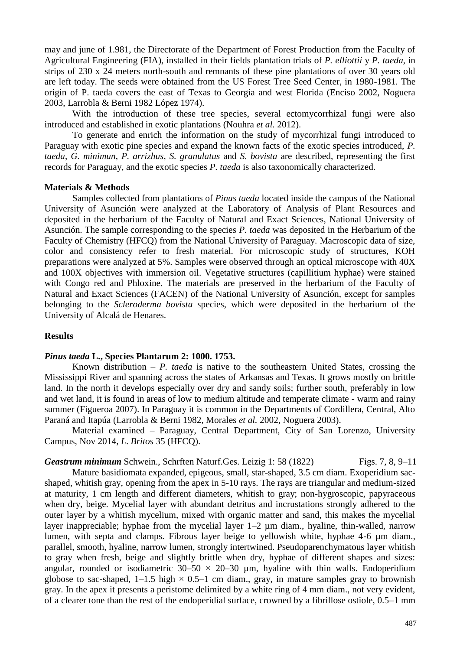may and june of 1.981, the Directorate of the Department of Forest Production from the Faculty of Agricultural Engineering (FIA), installed in their fields plantation trials of *P. elliottii* y *P. taeda*, in strips of 230 x 24 meters north-south and remnants of these pine plantations of over 30 years old are left today. The seeds were obtained from the US Forest Tree Seed Center, in 1980-1981. The origin of P. taeda covers the east of Texas to Georgia and west Florida (Enciso 2002, Noguera 2003, Larrobla & Berni 1982 López 1974).

With the introduction of these tree species, several ectomycorrhizal fungi were also introduced and established in exotic plantations (Nouhra *et al.* 2012).

To generate and enrich the information on the study of mycorrhizal fungi introduced to Paraguay with exotic pine species and expand the known facts of the exotic species introduced, *P. taeda*, *G. minimun*, *P. arrizhus*, *S. granulatus* and *S. bovista* are described, representing the first records for Paraguay, and the exotic species *P. taeda* is also taxonomically characterized.

#### **Materials & Methods**

Samples collected from plantations of *Pinus taeda* located inside the campus of the National University of Asunción were analyzed at the Laboratory of Analysis of Plant Resources and deposited in the herbarium of the Faculty of Natural and Exact Sciences, National University of Asunción. The sample corresponding to the species *P. taeda* was deposited in the Herbarium of the Faculty of Chemistry (HFCQ) from the National University of Paraguay. Macroscopic data of size, color and consistency refer to fresh material. For microscopic study of structures, KOH preparations were analyzed at 5%. Samples were observed through an optical microscope with 40X and 100X objectives with immersion oil. Vegetative structures (capillitium hyphae) were stained with Congo red and Phloxine. The materials are preserved in the herbarium of the Faculty of Natural and Exact Sciences (FACEN) of the National University of Asunción, except for samples belonging to the *Scleroderma bovista* species, which were deposited in the herbarium of the University of Alcalá de Henares.

# **Results**

## *Pinus taeda* **L., Species Plantarum 2: 1000. 1753.**

Known distribution – *P. taeda* is native to the southeastern United States, crossing the Mississippi River and spanning across the states of Arkansas and Texas. It grows mostly on brittle land. In the north it develops especially over dry and sandy soils; further south, preferably in low and wet land, it is found in areas of low to medium altitude and temperate climate - warm and rainy summer (Figueroa 2007). In Paraguay it is common in the Departments of Cordillera, Central, Alto Paraná and Itapúa (Larrobla & Berni 1982, Morales *et al.* 2002, Noguera 2003).

Material examined – Paraguay, Central Department, City of San Lorenzo, University Campus, Nov 2014, *L*. *Britos* 35 (HFCQ).

## *Geastrum minimum Schwein., Schrften Naturf.Ges. Leizig 1: 58 (1822)* Figs. 7, 8, 9–11

Mature basidiomata expanded, epigeous, small, star-shaped, 3.5 cm diam. Exoperidium sacshaped, whitish gray, opening from the apex in 5-10 rays. The rays are triangular and medium-sized at maturity, 1 cm length and different diameters, whitish to gray; non-hygroscopic, papyraceous when dry, beige. Mycelial layer with abundant detritus and incrustations strongly adhered to the outer layer by a whitish mycelium, mixed with organic matter and sand, this makes the mycelial layer inappreciable; hyphae from the mycelial layer 1–2 µm diam., hyaline, thin-walled, narrow lumen, with septa and clamps. Fibrous layer beige to yellowish white, hyphae 4-6 µm diam., parallel, smooth, hyaline, narrow lumen, strongly intertwined. Pseudoparenchymatous layer whitish to gray when fresh, beige and slightly brittle when dry, hyphae of different shapes and sizes: angular, rounded or isodiametric  $30-50 \times 20-30$  µm, hyaline with thin walls. Endoperidium globose to sac-shaped,  $1-1.5$  high  $\times$  0.5–1 cm diam., gray, in mature samples gray to brownish gray. In the apex it presents a peristome delimited by a white ring of 4 mm diam., not very evident, of a clearer tone than the rest of the endoperidial surface, crowned by a fibrillose ostiole, 0.5–1 mm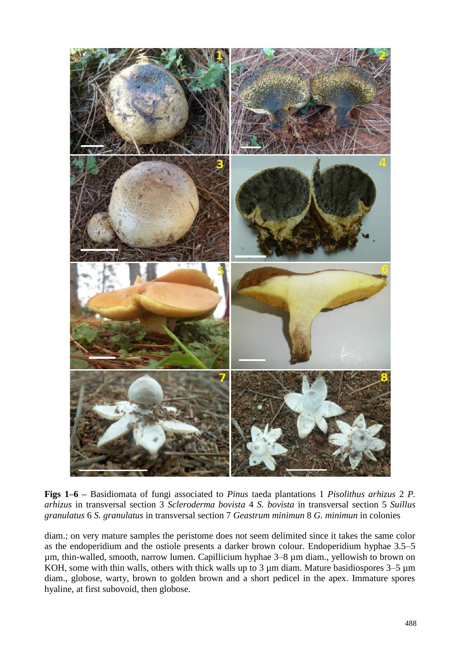

**Figs 1–6 –** Basidiomata of fungi associated to *Pinus* taeda plantations 1 *Pisolithus arhizus* 2 *P. arhizus* in transversal section 3 *Scleroderma bovista* 4 *S. bovista* in transversal section 5 *Suillus granulatus* 6 *S. granulatus* in transversal section 7 *Geastrum minimun* 8 *G. minimun* in colonies

diam.; on very mature samples the peristome does not seem delimited since it takes the same color as the endoperidium and the ostiole presents a darker brown colour. Endoperidium hyphae 3.5–5 µm, thin-walled, smooth, narrow lumen. Capillicium hyphae 3–8 µm diam., yellowish to brown on KOH, some with thin walls, others with thick walls up to 3  $\mu$ m diam. Mature basidiospores 3–5  $\mu$ m diam., globose, warty, brown to golden brown and a short pedicel in the apex. Immature spores hyaline, at first subovoid, then globose.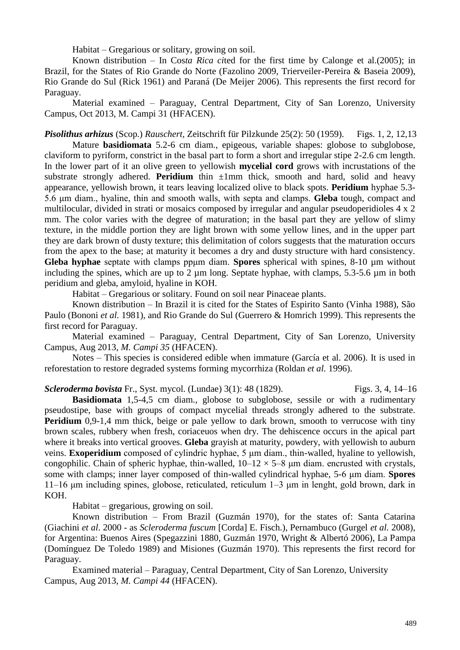Habitat – Gregarious or solitary, growing on soil.

Known distribution – In Cos*ta Rica ci*ted for the first time by Calonge et al.(2005); in Brazil, for the States of Rio Grande do Norte (Fazolino 2009, Trierveiler-Pereira & Baseia 2009), Rio Grande do Sul (Rick 1961) and Paraná (De Meijer 2006). This represents the first record for Paraguay.

Material examined – Paraguay, Central Department, City of San Lorenzo, University Campus, Oct 2013, M. Campi 31 (HFACEN).

*Pisolithus arhizus* (Scop.) *Rauschert,* Zeitschrift für Pilzkunde 25(2): 50 (1959). Figs. 1, 2, 12,13

Mature **basidiomata** 5.2-6 cm diam., epigeous, variable shapes: globose to subglobose, claviform to pyriform, constrict in the basal part to form a short and irregular stipe 2-2.6 cm length. In the lower part of it an olive green to yellowish **mycelial cord** grows with incrustations of the substrate strongly adhered. **Peridium** thin  $\pm 1$ mm thick, smooth and hard, solid and heavy appearance, yellowish brown, it tears leaving localized olive to black spots. **Peridium** hyphae 5.3- 5.6 μm diam., hyaline, thin and smooth walls, with septa and clamps. **Gleba** tough, compact and multilocular, divided in strati or mosaics composed by irregular and angular pseudoperidioles 4 x 2 mm. The color varies with the degree of maturation; in the basal part they are yellow of slimy texture, in the middle portion they are light brown with some yellow lines, and in the upper part they are dark brown of dusty texture; this delimitation of colors suggests that the maturation occurs from the apex to the base; at maturity it becomes a dry and dusty structure with hard consistency. **Gleba hyphae** septate with clamps ppμm diam. **Spores** spherical with spines, 8-10 µm without including the spines, which are up to 2 µm long. Septate hyphae, with clamps, 5.3-5.6 µm in both peridium and gleba, amyloid, hyaline in KOH.

Habitat – Gregarious or solitary. Found on soil near Pinaceae plants.

Known distribution – In Brazil it is cited for the States of Espirito Santo (Vinha 1988), São Paulo (Bononi *et al.* 1981), and Rio Grande do Sul (Guerrero & Homrich 1999). This represents the first record for Paraguay.

Material examined – Paraguay, Central Department, City of San Lorenzo, University Campus, Aug 2013, *M. Campi 35* (HFACEN).

Notes – This species is considered edible when immature (García et al. 2006). It is used in reforestation to restore degraded systems forming mycorrhiza (Roldan *et al.* 1996).

*Scleroderma bovista* Fr., Syst. mycol. (Lundae) 3(1): 48 (1829). Figs. 3, 4, 14–16

**Basidiomata** 1,5-4,5 cm diam., globose to subglobose, sessile or with a rudimentary pseudostipe, base with groups of compact mycelial threads strongly adhered to the substrate. **Peridium** 0,9-1,4 mm thick, beige or pale yellow to dark brown, smooth to verrucose with tiny brown scales, rubbery when fresh, coriaceuos when dry. The dehiscence occurs in the apical part where it breaks into vertical grooves. **Gleba** grayish at maturity, powdery, with yellowish to auburn veins. **Exoperidium** composed of cylindric hyphae, 5 μm diam., thin-walled, hyaline to yellowish, congophilic. Chain of spheric hyphae, thin-walled,  $10-12 \times 5-8$  µm diam. encrusted with crystals, some with clamps; inner layer composed of thin-walled cylindrical hyphae, 5-6 μm diam. **Spores** 11–16 μm including spines, globose, reticulated, reticulum 1–3 μm in lenght, gold brown, dark in KOH.

Habitat – gregarious, growing on soil.

Known distribution – From Brazil (Guzmán 1970), for the states of: Santa Catarina (Giachini *et al*. 2000 - as *Scleroderma fuscum* [Corda] E. Fisch.), Pernambuco (Gurgel *et al.* 2008), for Argentina: Buenos Aires (Spegazzini 1880, Guzmán 1970, Wright & Albertó 2006), La Pampa (Domínguez De Toledo 1989) and Misiones (Guzmán 1970). This represents the first record for Paraguay.

Examined material – Paraguay, Central Department, City of San Lorenzo, University Campus, Aug 2013, *M. Campi 44* (HFACEN).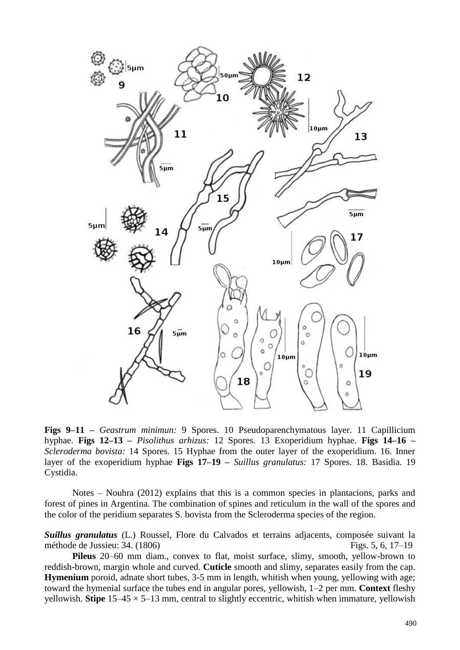

**Figs 9–11 –** *Geastrum minimun:* 9 Spores. 10 Pseudoparenchymatous layer. 11 Capillicium hyphae. **Figs 12–13 –** *Pisolithus arhizus:* 12 Spores. 13 Exoperidium hyphae. **Figs 14–16 –** *Scleroderma bovista:* 14 Spores. 15 Hyphae from the outer layer of the exoperidium. 16. Inner layer of the exoperidium hyphae **Figs 17–19 –** *Suillus granulatus:* 17 Spores. 18. Basidia. 19 Cystidia.

Notes – Nouhra (2012) explains that this is a common species in plantacions, parks and forest of pines in Argentina. The combination of spines and reticulum in the wall of the spores and the color of the peridium separates S. bovista from the Scleroderma species of the region.

*Suillus granulatus* (L.) Roussel, Flore du Calvados et terrains adjacents, composée suivant la méthode de Jussieu: 34. (1806) Figs. 5, 6, 17–19

**Pileus** 20–60 mm diam., convex to flat, moist surface, slimy, smooth, yellow-brown to reddish-brown, margin whole and curved. **Cuticle** smooth and slimy, separates easily from the cap. **Hymenium** poroid, adnate short tubes, 3-5 mm in length, whitish when young, yellowing with age; toward the hymenial surface the tubes end in angular pores, yellowish, 1–2 per mm. **Context** fleshy yellowish. **Stipe**  $15-45 \times 5-13$  mm, central to slightly eccentric, whitish when immature, yellowish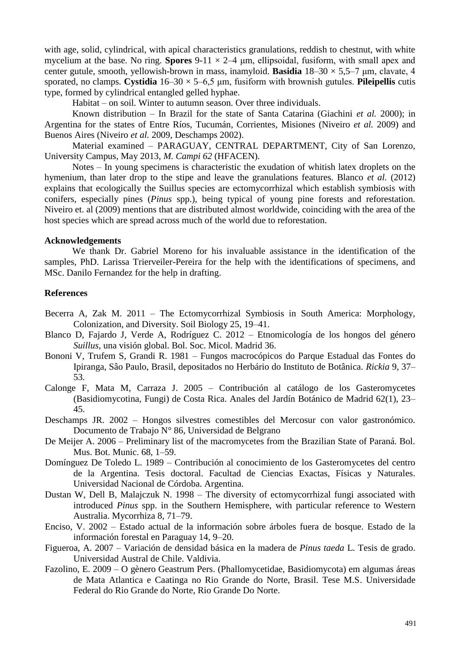with age, solid, cylindrical, with apical characteristics granulations, reddish to chestnut, with white mycelium at the base. No ring. **Spores** 9-11  $\times$  2-4  $\mu$ m, ellipsoidal, fusiform, with small apex and center gutule, smooth, yellowish-brown in mass, inamyloid. **Basidia** 18–30 × 5,5–7 μm, clavate, 4 sporated, no clamps. **Cystidia**  $16-30 \times 5-6.5$  µm, fusiform with brownish gutules. **Pileipellis** cutis type, formed by cylindrical entangled gelled hyphae.

Habitat – on soil. Winter to autumn season. Over three individuals.

Known distribution – In Brazil for the state of Santa Catarina (Giachini *et al.* 2000); in Argentina for the states of Entre Ríos, Tucumán, Corrientes, Misiones (Niveiro *et al.* 2009) and Buenos Aires (Niveiro *et al.* 2009, Deschamps 2002).

Material examined – PARAGUAY, CENTRAL DEPARTMENT, City of San Lorenzo, University Campus, May 2013, *M. Campi 62* (HFACEN).

Notes – In young specimens is characteristic the exudation of whitish latex droplets on the hymenium, than later drop to the stipe and leave the granulations features. Blanco *et al.* (2012) explains that ecologically the Suillus species are ectomycorrhizal which establish symbiosis with conifers, especially pines (*Pinus* spp.), being typical of young pine forests and reforestation. Niveiro et. al (2009) mentions that are distributed almost worldwide, coinciding with the area of the host species which are spread across much of the world due to reforestation.

## **Acknowledgements**

We thank Dr. Gabriel Moreno for his invaluable assistance in the identification of the samples, PhD. Larissa Trierveiler-Pereira for the help with the identifications of specimens, and MSc. Danilo Fernandez for the help in drafting.

# **References**

- Becerra A, Zak M. 2011 The Ectomycorrhizal Symbiosis in South America: Morphology, Colonization, and Diversity. Soil Biology 25, 19–41.
- Blanco D, Fajardo J, Verde A, Rodríguez C. 2012 Etnomicología de los hongos del género *Suillus,* una visión global. Bol. Soc. Micol. Madrid 36.
- Bononi V, Trufem S, Grandi R. 1981 Fungos macrocópicos do Parque Estadual das Fontes do Ipiranga, Sâo Paulo, Brasil, depositados no Herbário do Instituto de Botânica. *Rickia* 9, 37– 53.
- Calonge F, Mata M, Carraza J. 2005 Contribución al catálogo de los Gasteromycetes (Basidiomycotina, Fungi) de Costa Rica. Anales del Jardín Botánico de Madrid 62(1), 23– 45.
- Deschamps JR. 2002 Hongos silvestres comestibles del Mercosur con valor gastronómico. Documento de Trabajo N° 86, Universidad de Belgrano
- De Meijer A. 2006 Preliminary list of the macromycetes from the Brazilian State of Paraná. Bol. Mus. Bot. Munic. 68, 1–59.
- Domínguez De Toledo L. 1989 Contribución al conocimiento de los Gasteromycetes del centro de la Argentina. Tesis doctoral. Facultad de Ciencias Exactas, Físicas y Naturales. Universidad Nacional de Córdoba. Argentina.
- Dustan W, Dell B, Malajczuk N. 1998 The diversity of ectomycorrhizal fungi associated with introduced *Pinus* spp. in the Southern Hemisphere, with particular reference to Western Australia. Mycorrhiza 8, 71–79.
- Enciso, V. 2002 Estado actual de la información sobre árboles fuera de bosque. Estado de la información forestal en Paraguay 14, 9–20.
- Figueroa, A. 2007 Variación de densidad básica en la madera de *Pinus taeda* L. Tesis de grado. Universidad Austral de Chile. Valdivia.
- Fazolino, E. 2009 O gènero Geastrum Pers. (Phallomycetidae, Basidiomycota) em algumas áreas de Mata Atlantica e Caatinga no Rio Grande do Norte, Brasil. Tese M.S. Universidade Federal do Rio Grande do Norte, Rio Grande Do Norte.